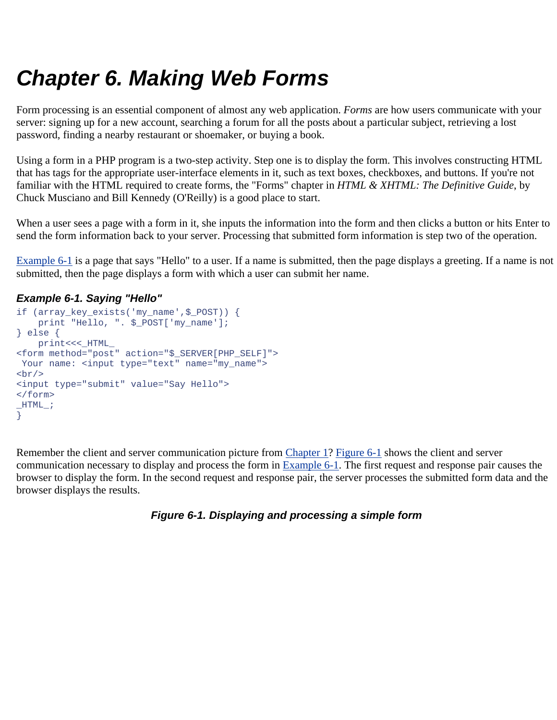# *Chapter 6. Making Web Forms*

Form processing is an essential component of almost any web application. *Forms* are how users communicate with your server: signing up for a new account, searching a forum for all the posts about a particular subject, retrieving a lost password, finding a nearby restaurant or shoemaker, or buying a book.

Using a form in a PHP program is a two-step activity. Step one is to display the form. This involves constructing HTML that has tags for the appropriate user-interface elements in it, such as text boxes, checkboxes, and buttons. If you're not familiar with the HTML required to create forms, the "Forms" chapter in *HTML & XHTML: The Definitive Guide*, by Chuck Musciano and Bill Kennedy (O'Reilly) is a good place to start.

When a user sees a page with a form in it, she inputs the information into the form and then clicks a button or hits Enter to send the form information back to your server. Processing that submitted form information is step two of the operation.

Example 6-1 is a page that says "Hello" to a user. If a name is submitted, then the page displays a greeting. If a name is not submitted, then the page displays a form with which a user can submit her name.

# *Example 6-1. Saying "Hello"*

```
if (array key exists('my name',$ POST)) {
     print "Hello, ". $_POST['my_name']; 
} else { 
     print<<<_HTML_ 
<form method="post" action="$_SERVER[PHP_SELF]"> 
Your name: <input type="text" name="my_name">
\text{chr}/\text{F}<input type="submit" value="Say Hello"> 
</form> 
_HTML_; 
}
```
Remember the client and server communication picture from Chapter 1? Figure 6-1 shows the client and server communication necessary to display and process the form in Example 6-1. The first request and response pair causes the browser to display the form. In the second request and response pair, the server processes the submitted form data and the browser displays the results.

# *Figure 6-1. Displaying and processing a simple form*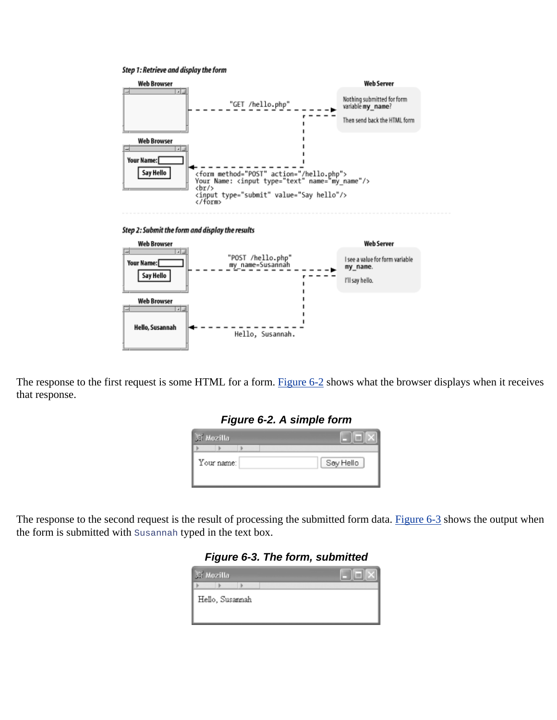

Hello, Susannah



The response to the first request is some HTML for a form. Figure 6-2 shows what the browser displays when it receives that response.

Hello, Susannah.

# *Figure 6-2. A simple form*

|            | W Mozilla |  |           |
|------------|-----------|--|-----------|
|            |           |  |           |
| Your name: |           |  | Say Hello |

The response to the second request is the result of processing the submitted form data. Figure 6-3 shows the output when the form is submitted with Susannah typed in the text box.

# *Figure 6-3. The form, submitted*

| W Mozilla       |  |  |  |  |
|-----------------|--|--|--|--|
|                 |  |  |  |  |
| Hello, Susannah |  |  |  |  |
|                 |  |  |  |  |
|                 |  |  |  |  |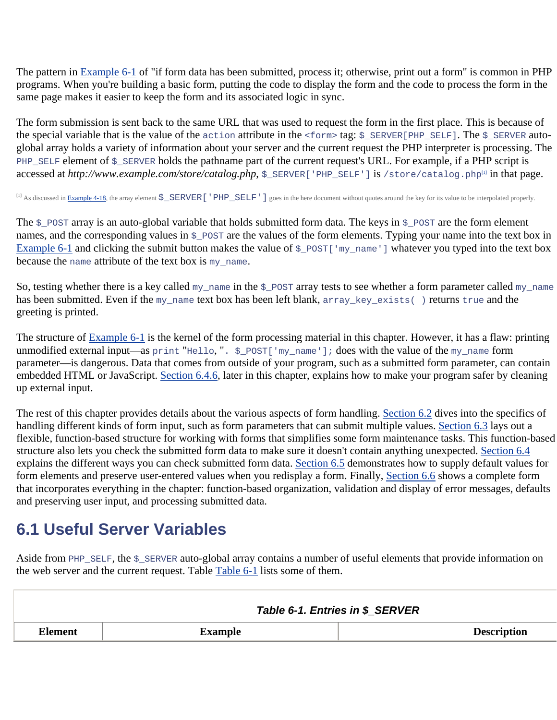The pattern in **Example 6-1** of "if form data has been submitted, process it; otherwise, print out a form" is common in PHP programs. When you're building a basic form, putting the code to display the form and the code to process the form in the same page makes it easier to keep the form and its associated logic in sync.

The form submission is sent back to the same URL that was used to request the form in the first place. This is because of the special variable that is the value of the action attribute in the  $\epsilon$  form> tag: \$\_SERVER[PHP\_SELF]. The \$\_SERVER autoglobal array holds a variety of information about your server and the current request the PHP interpreter is processing. The PHP\_SELF element of  $\zeta$ \_SERVER holds the pathname part of the current request's URL. For example, if a PHP script is accessed at *http://www.example.com/store/catalog.php*, \$ SERVER['PHP SELF'] is /store/catalog.php<sup>[1]</sup> in that page.

<sup>[1]</sup> As discussed in Example 4-18, the array element  $\frac{s}{s}$  SERVER ['PHP\_SELF'] goes in the here document without quotes around the key for its value to be interpolated properly.

The  $\frac{1}{2}$  post array is an auto-global variable that holds submitted form data. The keys in  $\frac{1}{2}$  post are the form element names, and the corresponding values in  $\zeta_{POST}$  are the values of the form elements. Typing your name into the text box in Example 6-1 and clicking the submit button makes the value of  $\zeta$ -post['my\_name'] whatever you typed into the text box because the name attribute of the text box is  $mv$  name.

So, testing whether there is a key called my\_name in the \$\_POST array tests to see whether a form parameter called my\_name has been submitted. Even if the my\_name text box has been left blank, array\_key\_exists() returns true and the greeting is printed.

The structure of **Example 6-1** is the kernel of the form processing material in this chapter. However, it has a flaw: printing unmodified external input—as print "Hello,". \$ POST['my\_name']; does with the value of the my\_name form parameter—is dangerous. Data that comes from outside of your program, such as a submitted form parameter, can contain embedded HTML or JavaScript. Section 6.4.6, later in this chapter, explains how to make your program safer by cleaning up external input.

The rest of this chapter provides details about the various aspects of form handling. Section 6.2 dives into the specifics of handling different kinds of form input, such as form parameters that can submit multiple values. Section 6.3 lays out a flexible, function-based structure for working with forms that simplifies some form maintenance tasks. This function-based structure also lets you check the submitted form data to make sure it doesn't contain anything unexpected. Section 6.4 explains the different ways you can check submitted form data. Section 6.5 demonstrates how to supply default values for form elements and preserve user-entered values when you redisplay a form. Finally, Section 6.6 shows a complete form that incorporates everything in the chapter: function-based organization, validation and display of error messages, defaults and preserving user input, and processing submitted data.

# **6.1 Useful Server Variables**

Aside from PHP\_SELF, the \$\_SERVER auto-global array contains a number of useful elements that provide information on the web server and the current request. Table Table 6-1 lists some of them.

|                |                | Table 6-1. Entries in \$ SERVER |
|----------------|----------------|---------------------------------|
| <b>Element</b> | <b>Example</b> | <b>Description</b>              |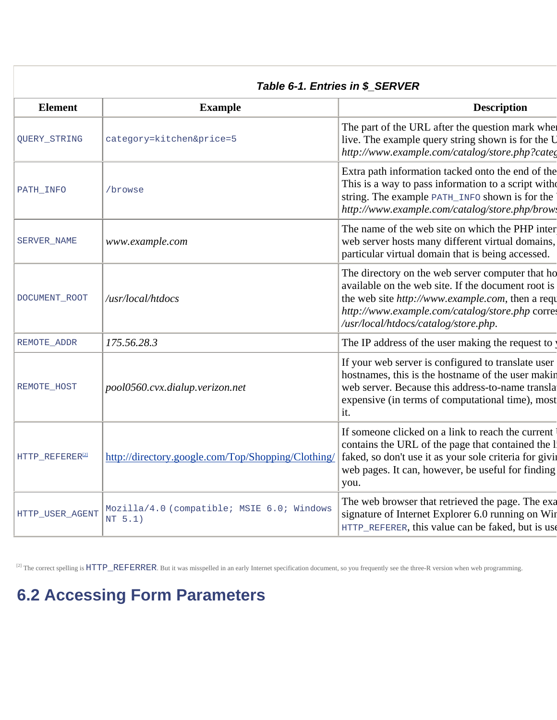|                             |                                                       | Table 6-1. Entries in \$_SERVER                                                                                                                                                                                                                       |  |
|-----------------------------|-------------------------------------------------------|-------------------------------------------------------------------------------------------------------------------------------------------------------------------------------------------------------------------------------------------------------|--|
| <b>Element</b>              | <b>Example</b>                                        | <b>Description</b>                                                                                                                                                                                                                                    |  |
| QUERY_STRING                | category=kitchen&price=5                              | The part of the URL after the question mark when<br>live. The example query string shown is for the U<br>http://www.example.com/catalog/store.php?categ                                                                                               |  |
| PATH_INFO                   | /browse                                               | Extra path information tacked onto the end of the<br>This is a way to pass information to a script with<br>string. The example PATH_INFO shown is for the<br>http://www.example.com/catalog/store.php/brow.                                           |  |
| SERVER_NAME                 | www.example.com                                       | The name of the web site on which the PHP inter<br>web server hosts many different virtual domains,<br>particular virtual domain that is being accessed.                                                                                              |  |
| DOCUMENT_ROOT               | /usr/local/htdocs                                     | The directory on the web server computer that ho<br>available on the web site. If the document root is<br>the web site http://www.example.com, then a requ<br>http://www.example.com/catalog/store.php corres<br>/usr/local/htdocs/catalog/store.php. |  |
| REMOTE_ADDR                 | 175.56.28.3                                           | The IP address of the user making the request to                                                                                                                                                                                                      |  |
| REMOTE_HOST                 | pool0560.cvx.dialup.verizon.net                       | If your web server is configured to translate user<br>hostnames, this is the hostname of the user makin<br>web server. Because this address-to-name transla<br>expensive (in terms of computational time), most<br>it.                                |  |
| HTTP_REFERER <sup>[2]</sup> | http://directory.google.com/Top/Shopping/Clothing/    | If someone clicked on a link to reach the current<br>contains the URL of the page that contained the l<br>faked, so don't use it as your sole criteria for givin<br>web pages. It can, however, be useful for finding<br>you.                         |  |
| HTTP_USER_AGENT             | Mozilla/4.0 (compatible; MSIE 6.0; Windows<br>NT 5.1) | The web browser that retrieved the page. The exa<br>signature of Internet Explorer 6.0 running on Wir<br>HTTP_REFERER, this value can be faked, but is use                                                                                            |  |

<sup>[2]</sup> The correct spelling is HTTP\_REFERRER. But it was misspelled in an early Internet specification document, so you frequently see the three-R version when web programming.

# **6.2 Accessing Form Parameters**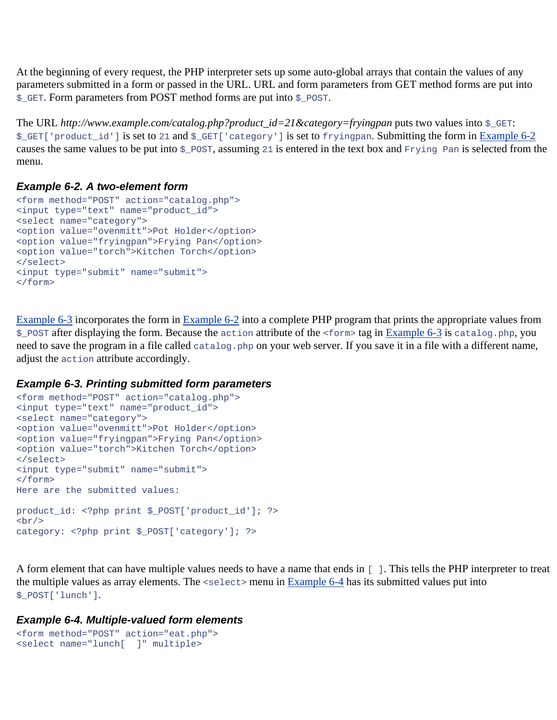At the beginning of every request, the PHP interpreter sets up some auto-global arrays that contain the values of any parameters submitted in a form or passed in the URL. URL and form parameters from GET method forms are put into \$\_GET. Form parameters from POST method forms are put into \$\_POST.

The URL *http://www.example.com/catalog.php?product\_id=21&category=fryingpan* puts two values into  $\epsilon$ \_GET: \$\_GET['product\_id'] is set to 21 and \$\_GET['category'] is set to fryingpan. Submitting the form in Example 6-2 causes the same values to be put into \$\_POST, assuming 21 is entered in the text box and Frying Pan is selected from the menu.

### *Example 6-2. A two-element form*

```
<form method="POST" action="catalog.php"> 
<input type="text" name="product_id"> 
<select name="category"> 
<option value="ovenmitt">Pot Holder</option> 
<option value="fryingpan">Frying Pan</option> 
<option value="torch">Kitchen Torch</option> 
</select> 
<input type="submit" name="submit"> 
</form>
```
Example 6-3 incorporates the form in Example 6-2 into a complete PHP program that prints the appropriate values from \$ POST after displaying the form. Because the action attribute of the <form> tag in Example 6-3 is catalog.php, you need to save the program in a file called catalog.php on your web server. If you save it in a file with a different name, adjust the action attribute accordingly.

#### *Example 6-3. Printing submitted form parameters*

```
<form method="POST" action="catalog.php"> 
<input type="text" name="product_id"> 
<select name="category"> 
<option value="ovenmitt">Pot Holder</option> 
<option value="fryingpan">Frying Pan</option> 
<option value="torch">Kitchen Torch</option> 
</select> 
<input type="submit" name="submit"> 
</form> 
Here are the submitted values: 
product_id: <?php print $_POST['product_id']; ?> 
\braket{br}category: <?php print $_POST['category']; ?>
```
A form element that can have multiple values needs to have a name that ends in [ ]. This tells the PHP interpreter to treat the multiple values as array elements. The <select> menu in Example 6-4 has its submitted values put into \$\_POST['lunch'].

#### *Example 6-4. Multiple-valued form elements*

```
<form method="POST" action="eat.php"> 
<select name="lunch[ ]" multiple>
```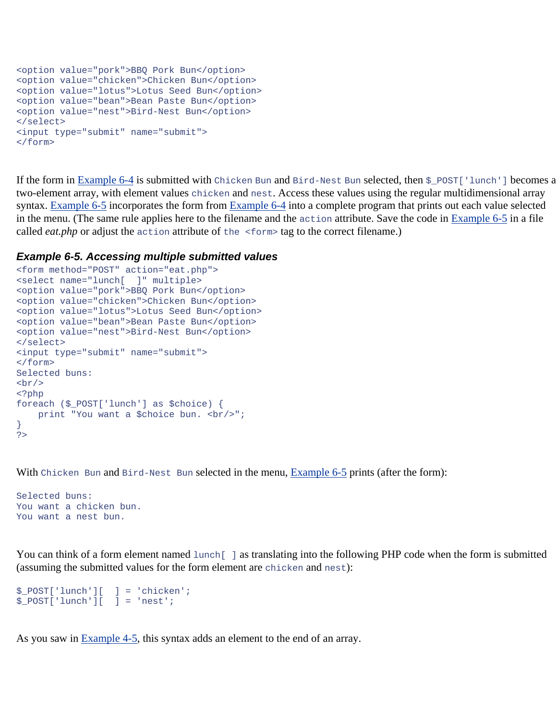```
<option value="pork">BBQ Pork Bun</option> 
<option value="chicken">Chicken Bun</option> 
<option value="lotus">Lotus Seed Bun</option> 
<option value="bean">Bean Paste Bun</option> 
<option value="nest">Bird-Nest Bun</option> 
</select> 
<input type="submit" name="submit"> 
</form>
```
If the form in Example 6-4 is submitted with Chicken Bun and Bird-Nest Bun selected, then \$\_POST['lunch'] becomes a two-element array, with element values chicken and nest. Access these values using the regular multidimensional array syntax. Example 6-5 incorporates the form from Example 6-4 into a complete program that prints out each value selected in the menu. (The same rule applies here to the filename and the action attribute. Save the code in Example 6-5 in a file called *eat.php* or adjust the  $\alpha$  action attribute of the  $\alpha$  form tag to the correct filename.)

#### *Example 6-5. Accessing multiple submitted values*

```
<form method="POST" action="eat.php"> 
<select name="lunch[ ]" multiple> 
<option value="pork">BBQ Pork Bun</option> 
<option value="chicken">Chicken Bun</option> 
<option value="lotus">Lotus Seed Bun</option> 
<option value="bean">Bean Paste Bun</option> 
<option value="nest">Bird-Nest Bun</option> 
</select> 
<input type="submit" name="submit"> 
</form> 
Selected buns: 
\braket{br}<?php 
foreach ($_POST['lunch'] as $choice) { 
    print "You want a $choice bun. <br/> <br/>br/>";
} 
?>
```
With Chicken Bun and Bird-Nest Bun selected in the menu, Example 6-5 prints (after the form):

```
Selected buns: 
You want a chicken bun. 
You want a nest bun.
```
You can think of a form element named lunch [ ] as translating into the following PHP code when the form is submitted (assuming the submitted values for the form element are chicken and nest):

```
$_POST['lunch'][ ] = 'chicken'; 
$POST['lunch'][ ] = 'nest';
```
As you saw in  $Example 4-5$ , this syntax adds an element to the end of an array.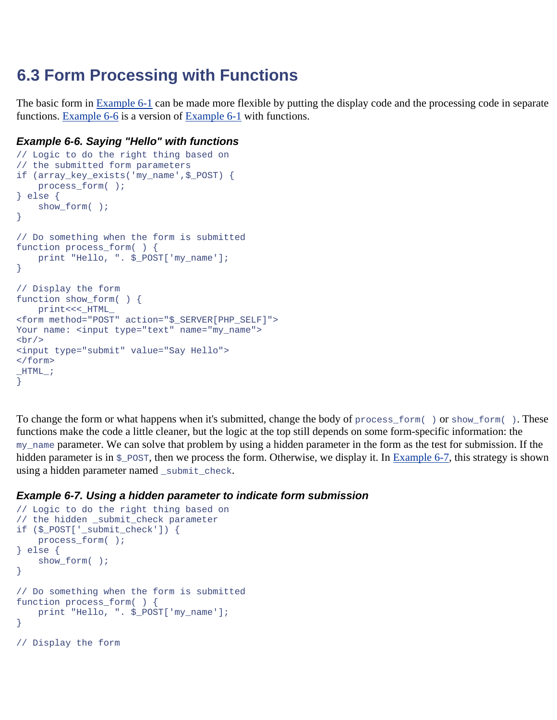# **6.3 Form Processing with Functions**

The basic form in Example 6-1 can be made more flexible by putting the display code and the processing code in separate functions. Example 6-6 is a version of Example 6-1 with functions.

## *Example 6-6. Saying "Hello" with functions*

```
// Logic to do the right thing based on 
// the submitted form parameters 
if (array_key_exists('my_name',$_POST) { 
    process form( );
} else { 
    show form( );
} 
// Do something when the form is submitted 
function process form( ) {
     print "Hello, ". $_POST['my_name']; 
} 
// Display the form 
function show_form( ) { 
    print<<<_HTML_ 
<form method="POST" action="$_SERVER[PHP_SELF]"> 
Your name: <input type="text" name="my_name">
\braket{br}<input type="submit" value="Say Hello"> 
</form> 
HTML_i}
```
To change the form or what happens when it's submitted, change the body of process\_form( ) or show\_form( ). These functions make the code a little cleaner, but the logic at the top still depends on some form-specific information: the my\_name parameter. We can solve that problem by using a hidden parameter in the form as the test for submission. If the hidden parameter is in  $\epsilon_{\text{POST}}$ , then we process the form. Otherwise, we display it. In Example 6-7, this strategy is shown using a hidden parameter named submit check.

## *Example 6-7. Using a hidden parameter to indicate form submission*

```
// Logic to do the right thing based on 
// the hidden _submit_check parameter 
if ($_POST['_submit_check']) { 
    process_form( ); 
} else { 
     show_form( ); 
} 
// Do something when the form is submitted 
function process form( ) {
    print "Hello, ". $ POST['my name'];
} 
// Display the form
```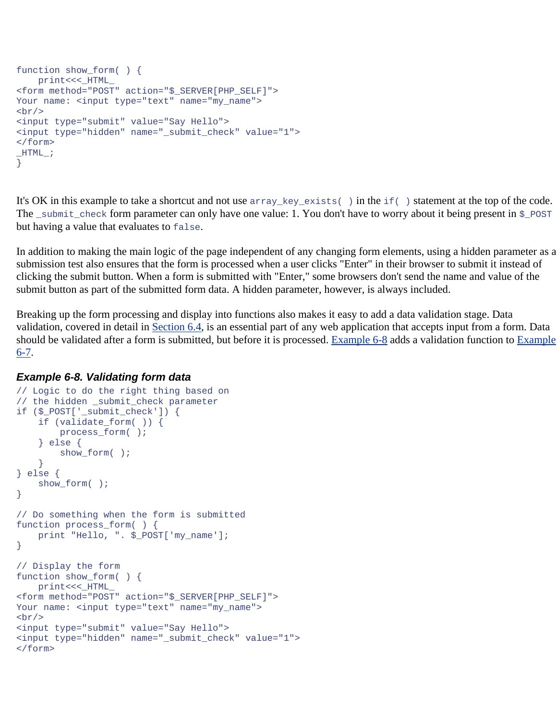```
function show_form( ) { 
     print<<<_HTML_ 
<form method="POST" action="$_SERVER[PHP_SELF]"> 
Your name: <input type="text" name="my_name">
\braket{\text{br}}<input type="submit" value="Say Hello"> 
<input type="hidden" name="_submit_check" value="1"> 
</form> 
_HTML_; 
}
```
It's OK in this example to take a shortcut and not use  $\arctan\log\exp\exp\exp(-\sin\theta t)$  in the if( ) statement at the top of the code. The  $\subseteq$ submit  $\subseteq$ check form parameter can only have one value: 1. You don't have to worry about it being present in  $\subseteq$ POST but having a value that evaluates to false.

In addition to making the main logic of the page independent of any changing form elements, using a hidden parameter as a submission test also ensures that the form is processed when a user clicks "Enter" in their browser to submit it instead of clicking the submit button. When a form is submitted with "Enter," some browsers don't send the name and value of the submit button as part of the submitted form data. A hidden parameter, however, is always included.

Breaking up the form processing and display into functions also makes it easy to add a data validation stage. Data validation, covered in detail in Section 6.4, is an essential part of any web application that accepts input from a form. Data should be validated after a form is submitted, but before it is processed. Example 6-8 adds a validation function to Example 6-7.

## *Example 6-8. Validating form data*

```
// Logic to do the right thing based on 
// the hidden _submit_check parameter 
if ($_POST['_submit_check']) { 
    if (validate form( )) \{process form( );
     } else { 
       show form( );
     } 
} else { 
     show_form( ); 
} 
// Do something when the form is submitted 
function process_form( ) { 
     print "Hello, ". $_POST['my_name']; 
} 
// Display the form 
function show form( ) {
    print<<<_HTML_ 
<form method="POST" action="$_SERVER[PHP_SELF]"> 
Your name: <input type="text" name="my_name">
\text{chr}/\text{F}<input type="submit" value="Say Hello"> 
<input type="hidden" name="_submit_check" value="1"> 
</form>
```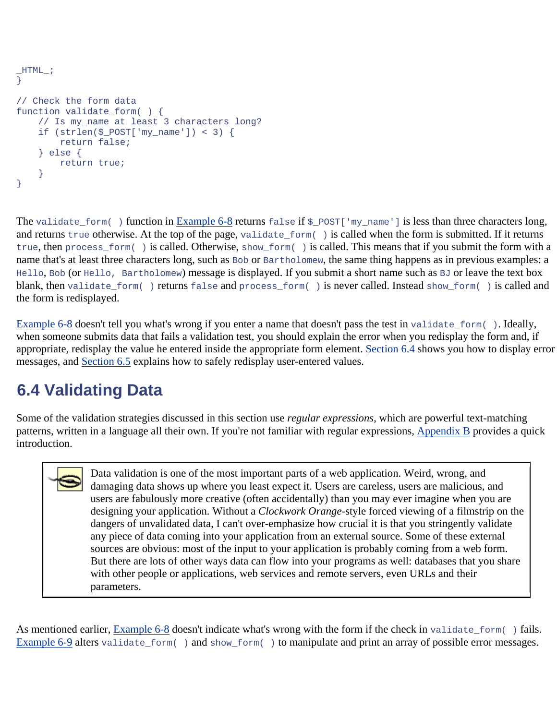```
_HTML_; 
} 
// Check the form data 
function validate_form( ) { 
    // Is my name at least 3 characters long?
    if (strlen(\xi_POST['my_name']) < 3) {
        return false; 
     } else { 
         return true; 
 } 
}
```
The validate\_form() function in Example 6-8 returns false if  $\zeta$ \_POST['my\_name'] is less than three characters long, and returns true otherwise. At the top of the page, validate\_form() is called when the form is submitted. If it returns true, then process\_form( ) is called. Otherwise, show\_form( ) is called. This means that if you submit the form with a name that's at least three characters long, such as Bob or Bartholomew, the same thing happens as in previous examples: a Hello, Bob (or Hello, Bartholomew) message is displayed. If you submit a short name such as BJ or leave the text box blank, then validate form( ) returns false and process form( ) is never called. Instead show form( ) is called and the form is redisplayed.

Example 6-8 doesn't tell you what's wrong if you enter a name that doesn't pass the test in validate\_form(). Ideally, when someone submits data that fails a validation test, you should explain the error when you redisplay the form and, if appropriate, redisplay the value he entered inside the appropriate form element. Section 6.4 shows you how to display error messages, and Section 6.5 explains how to safely redisplay user-entered values.

# **6.4 Validating Data**

Some of the validation strategies discussed in this section use *regular expressions*, which are powerful text-matching patterns, written in a language all their own. If you're not familiar with regular expressions, Appendix B provides a quick introduction.

> Data validation is one of the most important parts of a web application. Weird, wrong, and damaging data shows up where you least expect it. Users are careless, users are malicious, and users are fabulously more creative (often accidentally) than you may ever imagine when you are designing your application. Without a *Clockwork Orange*-style forced viewing of a filmstrip on the dangers of unvalidated data, I can't over-emphasize how crucial it is that you stringently validate any piece of data coming into your application from an external source. Some of these external sources are obvious: most of the input to your application is probably coming from a web form. But there are lots of other ways data can flow into your programs as well: databases that you share with other people or applications, web services and remote servers, even URLs and their parameters.

As mentioned earlier, Example 6-8 doesn't indicate what's wrong with the form if the check in validate\_form() fails. Example 6-9 alters validate\_form() and show\_form() to manipulate and print an array of possible error messages.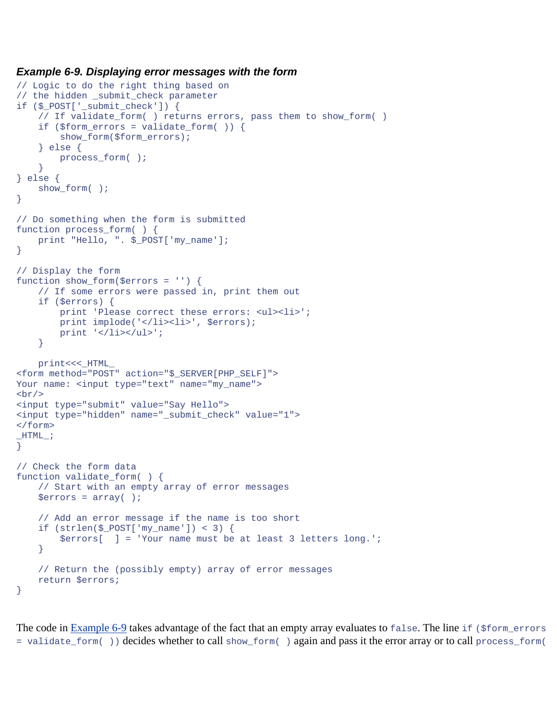#### *Example 6-9. Displaying error messages with the form*

```
// Logic to do the right thing based on 
// the hidden _submit_check parameter 
if ($_POST['_submit_check']) { 
     // If validate_form( ) returns errors, pass them to show_form( ) 
    if ($form errors = validate form( )) {
        show form($form errors);
     } else { 
         process_form( ); 
     } 
 } else { 
     show_form( ); 
} 
// Do something when the form is submitted 
function process_form( ) { 
     print "Hello, ". $_POST['my_name']; 
} 
// Display the form 
function show_form($errors = '') { 
     // If some errors were passed in, print them out 
     if ($errors) { 
        print 'Please correct these errors: <ul><li>';
        print implode('</li><li>', $errors);
         print '</li></ul>'; 
     } 
     print<<<_HTML_ 
<form method="POST" action="$_SERVER[PHP_SELF]"> 
Your name: <input type="text" name="my_name">
\braket{br}<input type="submit" value="Say Hello"> 
<input type="hidden" name="_submit_check" value="1"> 
</form> 
HTML;
} 
// Check the form data 
function validate_form( ) { 
     // Start with an empty array of error messages 
     $errors = array( ); 
     // Add an error message if the name is too short 
    if (strlen(\xi_POST['my_name']) < 3) {
         $errors[ ] = 'Your name must be at least 3 letters long.'; 
     } 
     // Return the (possibly empty) array of error messages 
     return $errors; 
}
```
The code in Example 6-9 takes advantage of the fact that an empty array evaluates to false. The line if ( $$form\_errors$ = validate\_form( )) decides whether to call show\_form( ) again and pass it the error array or to call process\_form(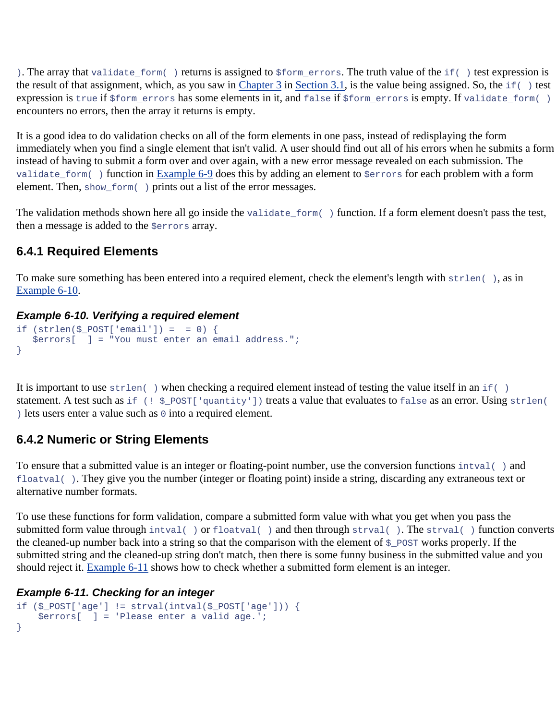). The array that validate\_form() returns is assigned to  $$form\_errors$ . The truth value of the if() test expression is the result of that assignment, which, as you saw in Chapter  $3$  in Section 3.1, is the value being assigned. So, the if() test expression is true if \$form\_errors has some elements in it, and false if \$form\_errors is empty. If validate\_form( ) encounters no errors, then the array it returns is empty.

It is a good idea to do validation checks on all of the form elements in one pass, instead of redisplaying the form immediately when you find a single element that isn't valid. A user should find out all of his errors when he submits a form instead of having to submit a form over and over again, with a new error message revealed on each submission. The validate\_form() function in Example 6-9 does this by adding an element to  $\frac{1}{2}$  for each problem with a form element. Then, show  $form( )$  prints out a list of the error messages.

The validation methods shown here all go inside the validate\_form() function. If a form element doesn't pass the test, then a message is added to the  $\frac{1}{2}$  serrors array.

# **6.4.1 Required Elements**

To make sure something has been entered into a required element, check the element's length with strlen( ), as in Example 6-10.

# *Example 6-10. Verifying a required element*

```
if (strlen(\$ POST['email']) = = 0) {
   $errors[ ] = "You must enter an email address."; 
}
```
It is important to use  $strlen( )$  when checking a required element instead of testing the value itself in an if() statement. A test such as if (!  $\frac{1}{2}$ POST['quantity']) treats a value that evaluates to false as an error. Using strlen( ) lets users enter a value such as 0 into a required element.

# **6.4.2 Numeric or String Elements**

To ensure that a submitted value is an integer or floating-point number, use the conversion functions intval( ) and floatval( ). They give you the number (integer or floating point) inside a string, discarding any extraneous text or alternative number formats.

To use these functions for form validation, compare a submitted form value with what you get when you pass the submitted form value through intval() or floatval() and then through strval(). The strval() function converts the cleaned-up number back into a string so that the comparison with the element of  $\zeta_{\text{POST}}$  works properly. If the submitted string and the cleaned-up string don't match, then there is some funny business in the submitted value and you should reject it. Example 6-11 shows how to check whether a submitted form element is an integer.

# *Example 6-11. Checking for an integer*

```
if ($_POST['age'] != strval(intval($_POST['age'])) { 
     $errors[ ] = 'Please enter a valid age.'; 
}
```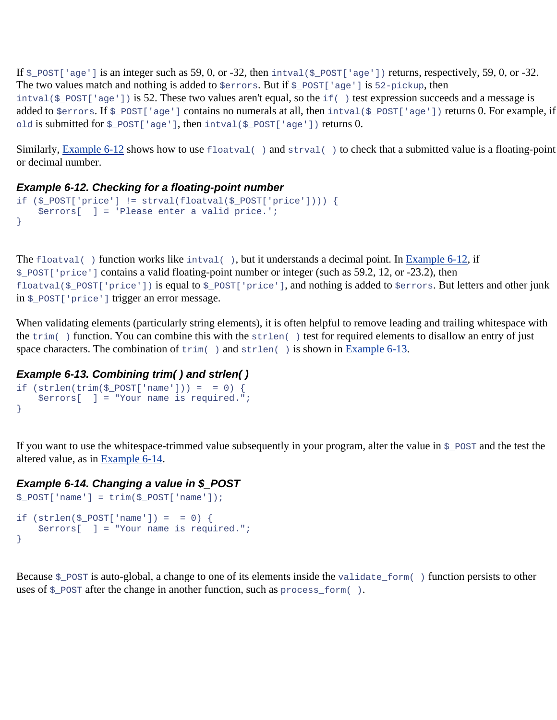If  $s_Posr[$  'age'] is an integer such as 59, 0, or -32, then intval( $s_Posr[$  'age']) returns, respectively, 59, 0, or -32. The two values match and nothing is added to  $\frac{1}{2}$  errors. But if  $\frac{1}{2}$  post ['age'] is 52-pickup, then intval(\$\_POST['age']) is 52. These two values aren't equal, so the if( ) test expression succeeds and a message is added to \$errors. If \$\_POST['age'] contains no numerals at all, then intval(\$\_POST['age']) returns 0. For example, if old is submitted for  $\zeta_P$ OST['age'], then intval( $\zeta_P$ OST['age']) returns 0.

Similarly, Example 6-12 shows how to use floatval() and strval() to check that a submitted value is a floating-point or decimal number.

#### *Example 6-12. Checking for a floating-point number*

```
if ($ POST['price'] != strval(floatval($ POST['price']))) {
     $errors[ ] = 'Please enter a valid price.'; 
}
```
The floatval() function works like intval(), but it understands a decimal point. In Example 6-12, if \$\_POST['price'] contains a valid floating-point number or integer (such as 59.2, 12, or -23.2), then floatval(\$\_POST['price']) is equal to \$\_POST['price'], and nothing is added to \$errors. But letters and other junk in \$\_POST['price'] trigger an error message.

When validating elements (particularly string elements), it is often helpful to remove leading and trailing whitespace with the  $\text{trim}(\cdot)$  function. You can combine this with the  $\text{strlen}(\cdot)$  test for required elements to disallow an entry of just space characters. The combination of  $\text{trim}(\cdot)$  and  $\text{strlen}(\cdot)$  is shown in Example 6-13.

## *Example 6-13. Combining trim( ) and strlen( )*

```
if (strlen(trim(\xi_POST['name']) ) = 0) $errors[ ] = "Your name is required."; 
}
```
If you want to use the whitespace-trimmed value subsequently in your program, alter the value in  $\zeta_{\text{POST}}$  and the test the altered value, as in Example 6-14.

#### *Example 6-14. Changing a value in \$\_POST*

```
$_POST['name'] = trim($_POST['name']); 
if (strlen(\xi_POST['name']) = = 0) {
     $errors[ ] = "Your name is required."; 
}
```
Because \$\_POST is auto-global, a change to one of its elements inside the validate\_form( ) function persists to other uses of  $\zeta$  post after the change in another function, such as process\_form().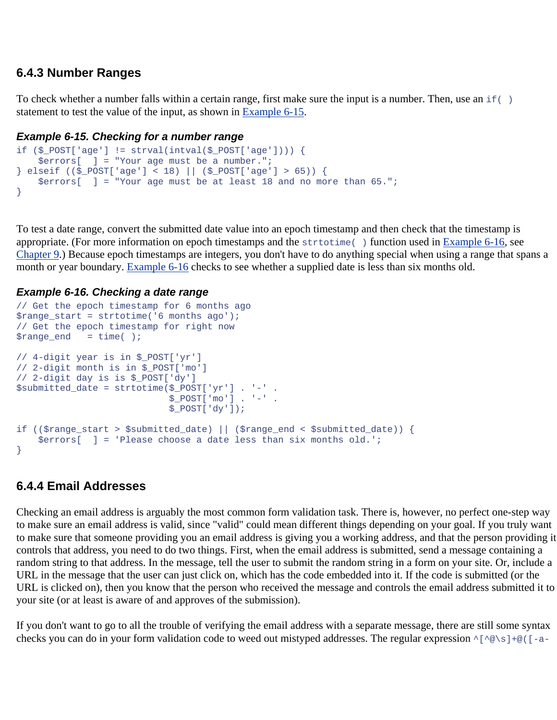# **6.4.3 Number Ranges**

To check whether a number falls within a certain range, first make sure the input is a number. Then, use an  $if( )$ statement to test the value of the input, as shown in Example 6-15.

### *Example 6-15. Checking for a number range*

```
if (\frac{1}{2}POST['aqe'] := strval(intval(\frac{1}{2}POST['aqe']))) {
     $errors[ ] = "Your age must be a number."; 
} elseif (($_POST['age'] < 18) || ($_POST['age'] > 65)) { 
    Serrors[ ] = "Your age must be at least 18 and no more than 65.";
}
```
To test a date range, convert the submitted date value into an epoch timestamp and then check that the timestamp is appropriate. (For more information on epoch timestamps and the strtotime( ) function used in Example 6-16, see Chapter 9.) Because epoch timestamps are integers, you don't have to do anything special when using a range that spans a month or year boundary. Example 6-16 checks to see whether a supplied date is less than six months old.

## *Example 6-16. Checking a date range*

```
// Get the epoch timestamp for 6 months ago 
$range start = strtotime('6 months ago');
// Get the epoch timestamp for right now 
$range end = time();
// 4-digit year is in $_POST['yr'] 
// 2-digit month is in $_POST['mo'] 
// 2-digit day is is $_POST['dy'] 
$submitted date = strtotime($ POST['yr'] . '-' .
                              $_POST['mo'] . '-' . 
                             $_POST['dy']); 
if (($range_start > $submitted_date) || ($range_end < $submitted_date)) { 
     $errors[ ] = 'Please choose a date less than six months old.'; 
}
```
# **6.4.4 Email Addresses**

Checking an email address is arguably the most common form validation task. There is, however, no perfect one-step way to make sure an email address is valid, since "valid" could mean different things depending on your goal. If you truly want to make sure that someone providing you an email address is giving you a working address, and that the person providing it controls that address, you need to do two things. First, when the email address is submitted, send a message containing a random string to that address. In the message, tell the user to submit the random string in a form on your site. Or, include a URL in the message that the user can just click on, which has the code embedded into it. If the code is submitted (or the URL is clicked on), then you know that the person who received the message and controls the email address submitted it to your site (or at least is aware of and approves of the submission).

If you don't want to go to all the trouble of verifying the email address with a separate message, there are still some syntax checks you can do in your form validation code to weed out mistyped addresses. The regular expression  $\wedge$ [ $\wedge$ @ $\wedge$ s]+@([-a-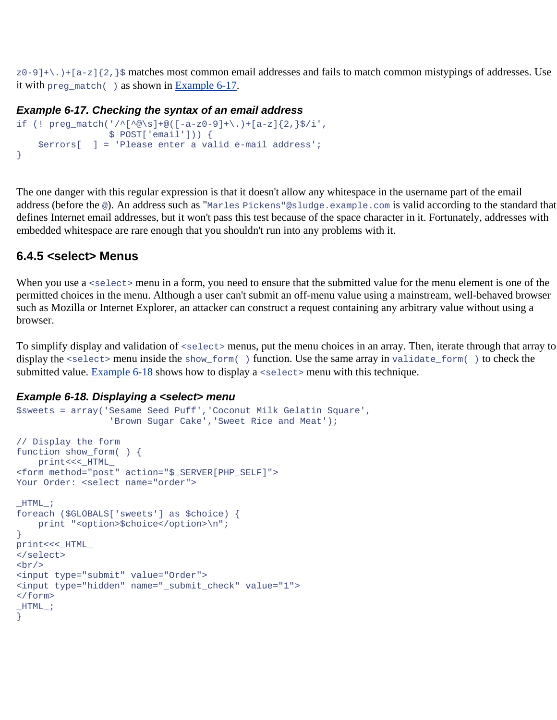$z_0$ -9]+\.)+[a-z]{2,}\$ matches most common email addresses and fails to match common mistypings of addresses. Use it with preg\_match( ) as shown in Example 6-17.

#### *Example 6-17. Checking the syntax of an email address*

```
if (! preg_match('/^[^@\s]+@([-a-z0-9]+\.)+[a-z]{2,}$/i',
                  $_POST['email'])) { 
     $errors[ ] = 'Please enter a valid e-mail address'; 
}
```
The one danger with this regular expression is that it doesn't allow any whitespace in the username part of the email address (before the @). An address such as "Marles Pickens"@sludge.example.com is valid according to the standard that defines Internet email addresses, but it won't pass this test because of the space character in it. Fortunately, addresses with embedded whitespace are rare enough that you shouldn't run into any problems with it.

# **6.4.5 <select> Menus**

When you use a  $\leq$  select menu in a form, you need to ensure that the submitted value for the menu element is one of the permitted choices in the menu. Although a user can't submit an off-menu value using a mainstream, well-behaved browser such as Mozilla or Internet Explorer, an attacker can construct a request containing any arbitrary value without using a browser.

To simplify display and validation of <select> menus, put the menu choices in an array. Then, iterate through that array to display the <select> menu inside the show\_form() function. Use the same array in validate\_form() to check the submitted value. Example  $6-18$  shows how to display a <select> menu with this technique.

#### *Example 6-18. Displaying a <select> menu*

```
$sweets = array('Sesame Seed Puff','Coconut Milk Gelatin Square', 
                   'Brown Sugar Cake','Sweet Rice and Meat'); 
// Display the form 
function show form( ) {
     print<<<_HTML_ 
<form method="post" action="$_SERVER[PHP_SELF]"> 
Your Order: <select name="order">
HTML;
foreach ($GLOBALS['sweets'] as $choice) { 
    print "<option>$choice</option>\n";
} 
print<<<_HTML_ 
</select> 
\braket{\text{br}}<input type="submit" value="Order"> 
<input type="hidden" name="_submit_check" value="1"> 
</form> 
_HTML_; 
}
```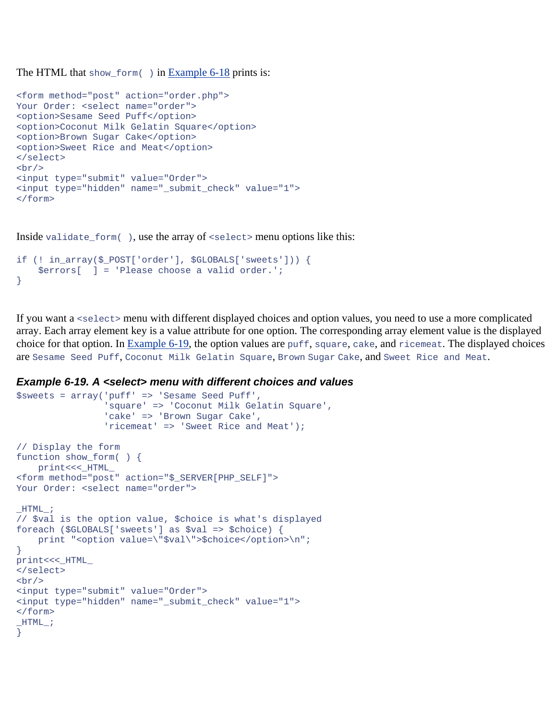The HTML that show\_form( $\cdot$ ) in Example 6-18 prints is:

```
<form method="post" action="order.php"> 
Your Order: <select name="order">
<option>Sesame Seed Puff</option> 
<option>Coconut Milk Gelatin Square</option> 
<option>Brown Sugar Cake</option> 
<option>Sweet Rice and Meat</option> 
</select> 
\braket{br}<input type="submit" value="Order"> 
<input type="hidden" name="_submit_check" value="1"> 
</form>
```
Inside validate\_form( ), use the array of <select> menu options like this:

```
if (! in_array($_POST['order'], $GLOBALS['sweets'])) { 
    $errors[ ] = 'Please choose a valid order.'; 
}
```
If you want a <select> menu with different displayed choices and option values, you need to use a more complicated array. Each array element key is a value attribute for one option. The corresponding array element value is the displayed choice for that option. In Example 6-19, the option values are puff, square, cake, and ricemeat. The displayed choices are Sesame Seed Puff, Coconut Milk Gelatin Square, Brown Sugar Cake, and Sweet Rice and Meat.

### *Example 6-19. A <select> menu with different choices and values*

```
$sweets = array('puff' => 'Sesame Seed Puff', 
                  'square' => 'Coconut Milk Gelatin Square', 
                  'cake' => 'Brown Sugar Cake', 
                  'ricemeat' => 'Sweet Rice and Meat'); 
// Display the form 
function show form( ) {
     print<<<_HTML_ 
<form method="post" action="$_SERVER[PHP_SELF]"> 
Your Order: <select name="order">
_HTML_i// $val is the option value, $choice is what's displayed 
foreach ($GLOBALS['sweets'] as $val => $choice) { 
    print "<option value=\"$val\">$choice</option>\n";
} 
print<<<_HTML_ 
</select> 
br/<input type="submit" value="Order"> 
<input type="hidden" name="_submit_check" value="1"> 
</form> 
HTML_i}
```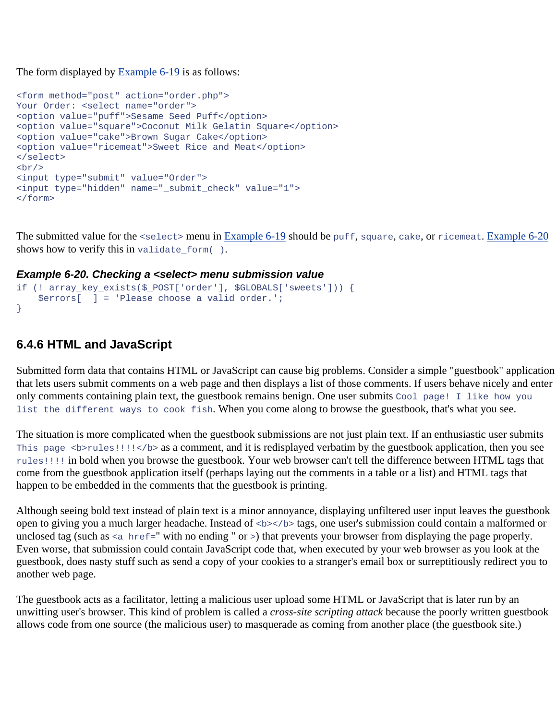The form displayed by  $Example 6-19$  is as follows:

```
<form method="post" action="order.php"> 
Your Order: <select name="order"> 
<option value="puff">Sesame Seed Puff</option> 
<option value="square">Coconut Milk Gelatin Square</option> 
<option value="cake">Brown Sugar Cake</option> 
<option value="ricemeat">Sweet Rice and Meat</option> 
</select> 
\braket{\text{br}}<input type="submit" value="Order"> 
<input type="hidden" name="_submit_check" value="1"> 
</form>
```
The submitted value for the <select> menu in Example 6-19 should be puff, square, cake, or ricemeat. Example 6-20 shows how to verify this in validate\_form().

# *Example 6-20. Checking a <select> menu submission value*

```
if (! array_key_exists($_POST['order'], $GLOBALS['sweets'])) { 
     $errors[ ] = 'Please choose a valid order.'; 
}
```
# **6.4.6 HTML and JavaScript**

Submitted form data that contains HTML or JavaScript can cause big problems. Consider a simple "guestbook" application that lets users submit comments on a web page and then displays a list of those comments. If users behave nicely and enter only comments containing plain text, the guestbook remains benign. One user submits Cool page! I like how you list the different ways to cook fish. When you come along to browse the guestbook, that's what you see.

The situation is more complicated when the guestbook submissions are not just plain text. If an enthusiastic user submits This page <b>rules!!!!</b> as a comment, and it is redisplayed verbatim by the guestbook application, then you see rules!!!! in bold when you browse the guestbook. Your web browser can't tell the difference between HTML tags that come from the guestbook application itself (perhaps laying out the comments in a table or a list) and HTML tags that happen to be embedded in the comments that the guestbook is printing.

Although seeing bold text instead of plain text is a minor annoyance, displaying unfiltered user input leaves the guestbook open to giving you a much larger headache. Instead of <b>>>>> tags, one user's submission could contain a malformed or unclosed tag (such as <a href=" with no ending " or >) that prevents your browser from displaying the page properly. Even worse, that submission could contain JavaScript code that, when executed by your web browser as you look at the guestbook, does nasty stuff such as send a copy of your cookies to a stranger's email box or surreptitiously redirect you to another web page.

The guestbook acts as a facilitator, letting a malicious user upload some HTML or JavaScript that is later run by an unwitting user's browser. This kind of problem is called a *cross-site scripting attack* because the poorly written guestbook allows code from one source (the malicious user) to masquerade as coming from another place (the guestbook site.)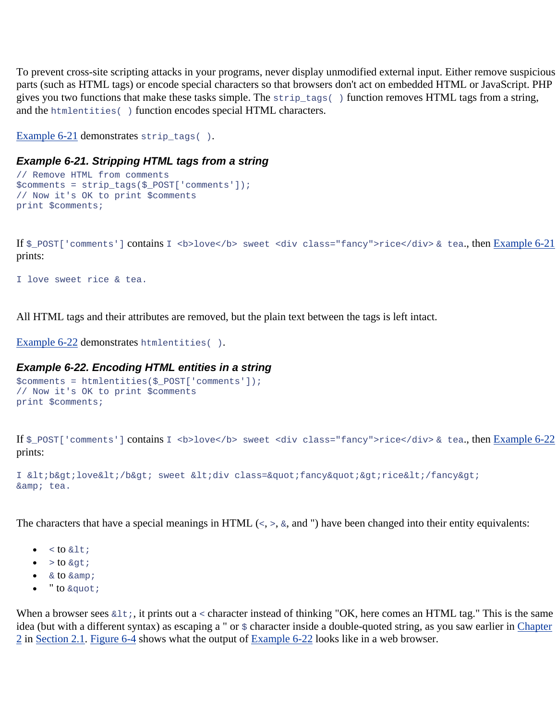To prevent cross-site scripting attacks in your programs, never display unmodified external input. Either remove suspicious parts (such as HTML tags) or encode special characters so that browsers don't act on embedded HTML or JavaScript. PHP gives you two functions that make these tasks simple. The strip\_tags( ) function removes HTML tags from a string, and the htmlentities() function encodes special HTML characters.

Example 6-21 demonstrates strip\_tags().

#### *Example 6-21. Stripping HTML tags from a string*

```
// Remove HTML from comments 
$comments = strip_tags($_POST['comments']); 
// Now it's OK to print $comments 
print $comments;
```
If  $\frac{1}{2}$  POST['comments'] contains I <b>love</b> sweet <div class="fancy">rice</div> & tea., then Example 6-21 prints:

```
I love sweet rice & tea.
```
All HTML tags and their attributes are removed, but the plain text between the tags is left intact.

Example 6-22 demonstrates htmlentities().

#### *Example 6-22. Encoding HTML entities in a string*

```
$comments = htmlentities($_POST['comments']); 
// Now it's OK to print $comments 
print $comments;
```
If \$\_POST['comments'] contains I <b>love</b> sweet <div class="fancy">rice</div> & tea., then Example 6-22 prints:

I <b&gt;love&lt;/b&gt; sweet &lt;div class=&quot;fancy&quot;&gt;rice&lt;/fancy&gt; & amp; tea.

The characters that have a special meanings in HTML  $(\langle, \rangle, \alpha, \alpha)$  have been changed into their entity equivalents:

- $\bullet \quad$  < to &lt;
- $\bullet$  > to >
- $\&$  to  $\&$  amp  $\int$
- $\bullet$  " to  $\&$ quot;

When a browser sees  $\< 1$ t;, it prints out a < character instead of thinking "OK, here comes an HTML tag." This is the same idea (but with a different syntax) as escaping a " or  $\frac{1}{2}$  character inside a double-quoted string, as you saw earlier in Chapter 2 in Section 2.1. Figure 6-4 shows what the output of Example 6-22 looks like in a web browser.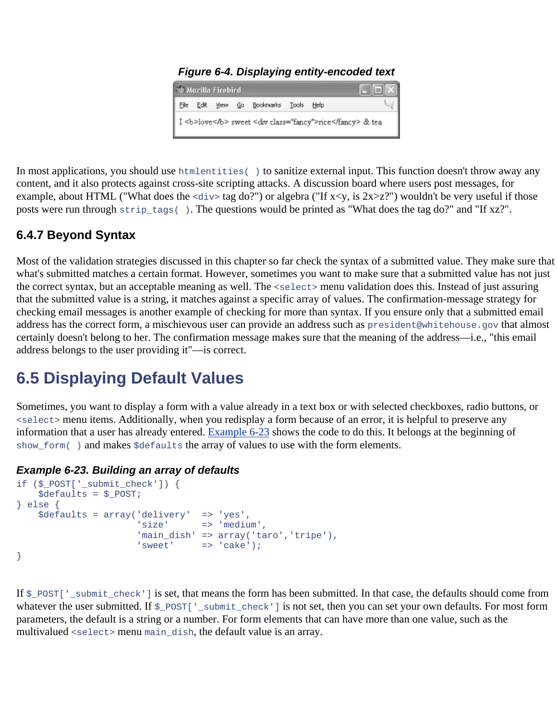# *Figure 6-4. Displaying entity-encoded text*



In most applications, you should use htmlentities( ) to sanitize external input. This function doesn't throw away any content, and it also protects against cross-site scripting attacks. A discussion board where users post messages, for example, about HTML ("What does the <div> tag do?") or algebra ("If x<y, is 2x>z?") wouldn't be very useful if those posts were run through strip\_tags( ). The questions would be printed as "What does the tag do?" and "If xz?".

# **6.4.7 Beyond Syntax**

Most of the validation strategies discussed in this chapter so far check the syntax of a submitted value. They make sure that what's submitted matches a certain format. However, sometimes you want to make sure that a submitted value has not just the correct syntax, but an acceptable meaning as well. The <select> menu validation does this. Instead of just assuring that the submitted value is a string, it matches against a specific array of values. The confirmation-message strategy for checking email messages is another example of checking for more than syntax. If you ensure only that a submitted email address has the correct form, a mischievous user can provide an address such as president@whitehouse.gov that almost certainly doesn't belong to her. The confirmation message makes sure that the meaning of the address—i.e., "this email address belongs to the user providing it"—is correct.

# **6.5 Displaying Default Values**

Sometimes, you want to display a form with a value already in a text box or with selected checkboxes, radio buttons, or <select> menu items. Additionally, when you redisplay a form because of an error, it is helpful to preserve any information that a user has already entered. Example 6-23 shows the code to do this. It belongs at the beginning of show\_form() and makes \$defaults the array of values to use with the form elements.

# *Example 6-23. Building an array of defaults*

```
if ($_POST['_submit_check']) { 
     $defaults = $_POST; 
} else { 
     $defaults = array('delivery' => 'yes', 
                       'size' => 'medium',
                       'main_dish' => array('taro','tripe'),
                       'sweet' \Rightarrow 'cake');
}
```
If  $\epsilon$  post ['\_submit\_check'] is set, that means the form has been submitted. In that case, the defaults should come from whatever the user submitted. If  $\zeta_P$ OST['\_submit\_check'] is not set, then you can set your own defaults. For most form parameters, the default is a string or a number. For form elements that can have more than one value, such as the multivalued <select> menu main\_dish, the default value is an array.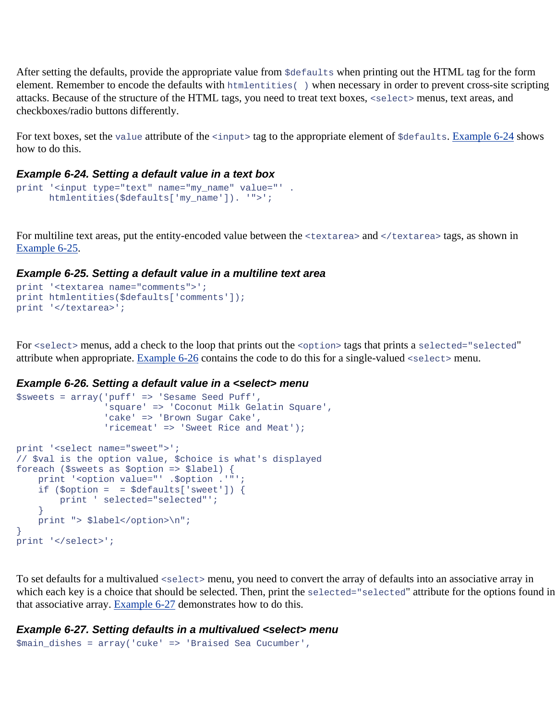After setting the defaults, provide the appropriate value from \$defaults when printing out the HTML tag for the form element. Remember to encode the defaults with htmlentities( ) when necessary in order to prevent cross-site scripting attacks. Because of the structure of the HTML tags, you need to treat text boxes, <select> menus, text areas, and checkboxes/radio buttons differently.

For text boxes, set the value attribute of the  $\langle$ input>tag to the appropriate element of  $\delta$ defaults. Example 6-24 shows how to do this.

#### *Example 6-24. Setting a default value in a text box*

```
print '<input type="text" name="my_name" value="' . 
       htmlentities($defaults['my_name']). '">';
```
For multiline text areas, put the entity-encoded value between the <textarea> and </textarea> tags, as shown in Example 6-25.

#### *Example 6-25. Setting a default value in a multiline text area*

```
print '<textarea name="comments">'; 
print htmlentities($defaults['comments']); 
print '</textarea>';
```
For <select> menus, add a check to the loop that prints out the <option> tags that prints a selected="selected" attribute when appropriate. Example  $6-26$  contains the code to do this for a single-valued  $\le$ select> menu.

#### *Example 6-26. Setting a default value in a <select> menu*

```
$sweets = array('puff' => 'Sesame Seed Puff', 
                  'square' => 'Coconut Milk Gelatin Square', 
                  'cake' => 'Brown Sugar Cake', 
                  'ricemeat' => 'Sweet Rice and Meat'); 
print '<select name="sweet">'; 
// $val is the option value, $choice is what's displayed 
foreach ($sweets as $option => $label) { 
     print '<option value="' .$option .'"'; 
    if ($option = = $defaults['sweet']) {
        print ' selected="selected"'; 
     } 
    print "> $label</option>\n";
} 
print '</select>';
```
To set defaults for a multivalued <select> menu, you need to convert the array of defaults into an associative array in which each key is a choice that should be selected. Then, print the selected="selected" attribute for the options found in that associative array. Example 6-27 demonstrates how to do this.

#### *Example 6-27. Setting defaults in a multivalued <select> menu*

```
$main_dishes = array('cuke' => 'Braised Sea Cucumber',
```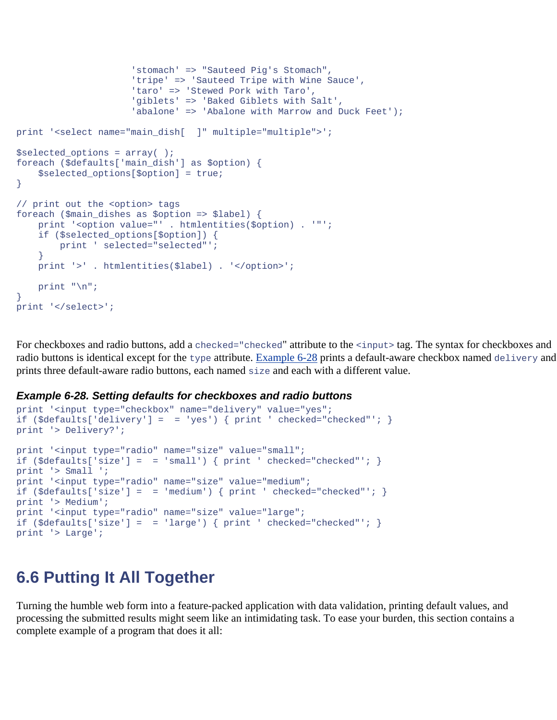```
 'stomach' => "Sauteed Pig's Stomach", 
                       'tripe' => 'Sauteed Tripe with Wine Sauce', 
                       'taro' => 'Stewed Pork with Taro', 
                       'giblets' => 'Baked Giblets with Salt', 
                       'abalone' => 'Abalone with Marrow and Duck Feet'); 
print '<select name="main_dish[ ]" multiple="multiple">'; 
$selected options = array();
foreach ($defaults['main_dish'] as $option) { 
     $selected_options[$option] = true; 
} 
// print out the <option> tags 
foreach ($main_dishes as $option => $label) { 
    print '<option value="' . htmlentities($option) . '"';
     if ($selected_options[$option]) { 
         print ' selected="selected"'; 
     } 
     print '>' . htmlentities($label) . '</option>'; 
     print "\n"; 
} 
print '</select>';
```
For checkboxes and radio buttons, add a checked="checked" attribute to the <input> tag. The syntax for checkboxes and radio buttons is identical except for the type attribute. Example 6-28 prints a default-aware checkbox named delivery and prints three default-aware radio buttons, each named size and each with a different value.

#### *Example 6-28. Setting defaults for checkboxes and radio buttons*

```
print '<input type="checkbox" name="delivery" value="yes"; 
if (\text{Sdefaults}['delivery'] = -['yes') \{ print ' checked="checked'': \}print '> Delivery?'; 
print '<input type="radio" name="size" value="small"; 
if (\text{Sdefaults}['size'] = = 'small') {\text{print}}' checked="checked"':print '> Small '; 
print '<input type="radio" name="size" value="medium"; 
if ($defaults['size'] = = 'medium') { print ' checked="checked"'; }
print '> Medium'; 
print '<input type="radio" name="size" value="large"; 
if (\text{Sdefaults}['size'] = - 'large') \{ print ' checked="checked";
print '> Large';
```
# **6.6 Putting It All Together**

Turning the humble web form into a feature-packed application with data validation, printing default values, and processing the submitted results might seem like an intimidating task. To ease your burden, this section contains a complete example of a program that does it all: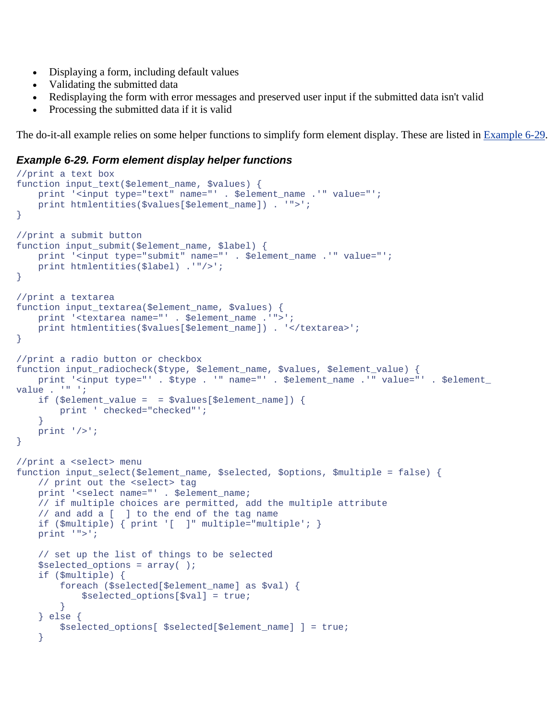- Displaying a form, including default values
- Validating the submitted data
- Redisplaying the form with error messages and preserved user input if the submitted data isn't valid
- Processing the submitted data if it is valid

The do-it-all example relies on some helper functions to simplify form element display. These are listed in Example 6-29.

### *Example 6-29. Form element display helper functions*

```
//print a text box 
function input_text($element_name, $values) { 
     print '<input type="text" name="' . $element_name .'" value="'; 
     print htmlentities($values[$element_name]) . '">'; 
} 
//print a submit button 
function input submit($element name, $label) {
     print '<input type="submit" name="' . $element_name .'" value="'; 
     print htmlentities($label) .'"/>'; 
} 
//print a textarea 
function input_textarea($element_name, $values) { 
     print '<textarea name="' . $element_name .'">'; 
     print htmlentities($values[$element_name]) . '</textarea>'; 
} 
//print a radio button or checkbox 
function input_radiocheck($type, $element_name, $values, $element_value) { 
     print '<input type="' . $type . '" name="' . $element_name .'" value="' . $element_ 
value . '" ';
    if ($element_value = $values[$element_name]) {
        print ' checked="checked"'; 
 } 
     print '/>'; 
} 
//print a <select> menu 
function input select($element name, $selected, $options, $multiple = false) {
     // print out the <select> tag 
     print '<select name="' . $element_name; 
     // if multiple choices are permitted, add the multiple attribute 
     // and add a [ ] to the end of the tag name 
     if ($multiple) { print '[ ]" multiple="multiple'; } 
     print '">'; 
     // set up the list of things to be selected 
     $selected_options = array( ); 
     if ($multiple) { 
         foreach ($selected[$element_name] as $val) { 
             $selected_options[$val] = true; 
 } 
     } else { 
         $selected_options[ $selected[$element_name] ] = true; 
 }
```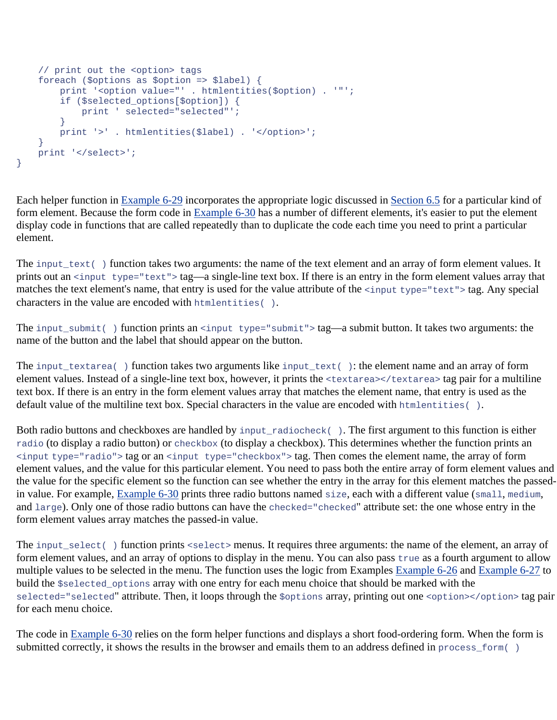```
 // print out the <option> tags 
     foreach ($options as $option => $label) { 
        print '<option value="' . htmlentities($option) . '"';
         if ($selected_options[$option]) { 
             print ' selected="selected"'; 
 } 
        print '>' . htmlentities($label) . '</option>';
     } 
    print '</select>'; 
}
```
Each helper function in Example 6-29 incorporates the appropriate logic discussed in Section 6.5 for a particular kind of form element. Because the form code in Example 6-30 has a number of different elements, it's easier to put the element display code in functions that are called repeatedly than to duplicate the code each time you need to print a particular element.

The input\_text() function takes two arguments: the name of the text element and an array of form element values. It prints out an <input type="text"> tag—a single-line text box. If there is an entry in the form element values array that matches the text element's name, that entry is used for the value attribute of the <input type="text"> tag. Any special characters in the value are encoded with htmlentities( ).

The input\_submit() function prints an <input type="submit"> tag—a submit button. It takes two arguments: the name of the button and the label that should appear on the button.

The input\_textarea() function takes two arguments like input\_text(): the element name and an array of form element values. Instead of a single-line text box, however, it prints the <textarea></textarea> tag pair for a multiline text box. If there is an entry in the form element values array that matches the element name, that entry is used as the default value of the multiline text box. Special characters in the value are encoded with htmlentities().

Both radio buttons and checkboxes are handled by input\_radiocheck( ). The first argument to this function is either radio (to display a radio button) or checkbox (to display a checkbox). This determines whether the function prints an <input type="radio"> tag or an <input type="checkbox"> tag. Then comes the element name, the array of form element values, and the value for this particular element. You need to pass both the entire array of form element values and the value for the specific element so the function can see whether the entry in the array for this element matches the passedin value. For example, Example 6-30 prints three radio buttons named size, each with a different value (small, medium, and large). Only one of those radio buttons can have the checked="checked" attribute set: the one whose entry in the form element values array matches the passed-in value.

The input\_select( ) function prints <select> menus. It requires three arguments: the name of the element, an array of form element values, and an array of options to display in the menu. You can also pass true as a fourth argument to allow multiple values to be selected in the menu. The function uses the logic from Examples Example 6-26 and Example 6-27 to build the \$selected\_options array with one entry for each menu choice that should be marked with the selected="selected" attribute. Then, it loops through the \$options array, printing out one <option></option> tag pair for each menu choice.

The code in **Example 6-30** relies on the form helper functions and displays a short food-ordering form. When the form is submitted correctly, it shows the results in the browser and emails them to an address defined in process\_form()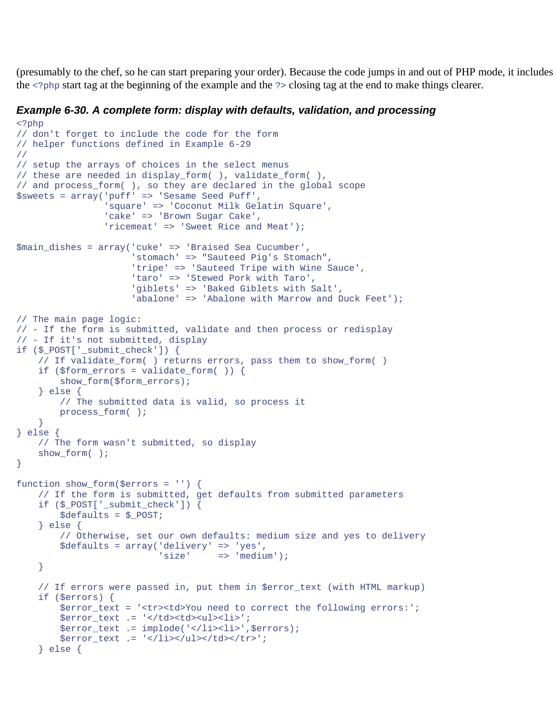(presumably to the chef, so he can start preparing your order). Because the code jumps in and out of PHP mode, it includes the <?php start tag at the beginning of the example and the ?> closing tag at the end to make things clearer.

*Example 6-30. A complete form: display with defaults, validation, and processing* 

```
<?php 
// don't forget to include the code for the form 
// helper functions defined in Example 6-29 
// 
// setup the arrays of choices in the select menus 
// these are needed in display_form( ), validate_form( ), 
// and process_form( ), so they are declared in the global scope 
$sweets = array('puff' => 'Sesame Seed Puff', 
                   'square' => 'Coconut Milk Gelatin Square', 
                  'cake' => 'Brown Sugar Cake', 
                  'ricemeat' => 'Sweet Rice and Meat'); 
$main_dishes = array('cuke' => 'Braised Sea Cucumber', 
                        'stomach' => "Sauteed Pig's Stomach", 
                        'tripe' => 'Sauteed Tripe with Wine Sauce', 
                        'taro' => 'Stewed Pork with Taro', 
                        'giblets' => 'Baked Giblets with Salt', 
                       'abalone' => 'Abalone with Marrow and Duck Feet');
// The main page logic: 
// - If the form is submitted, validate and then process or redisplay 
// - If it's not submitted, display 
if ($_POST['_submit_check']) { 
     // If validate_form( ) returns errors, pass them to show_form( ) 
     if ($form_errors = validate_form( )) { 
        show form($form errors);
     } else { 
         // The submitted data is valid, so process it 
         process_form( ); 
     } 
} else { 
     // The form wasn't submitted, so display 
    show form( );
} 
function show_form($errors = '') { 
     // If the form is submitted, get defaults from submitted parameters 
     if ($_POST['_submit_check']) { 
         $defaults = $_POST; 
     } else { 
         // Otherwise, set our own defaults: medium size and yes to delivery 
         $defaults = array('delivery' => 'yes', 
                            'size' => 'medium');
     } 
     // If errors were passed in, put them in $error_text (with HTML markup) 
     if ($errors) { 
         $error_text = '<tr><td>You need to correct the following errors:'; 
        $error text .= '</td><td><ul><li>';
         $error_text .= implode('</li><li>',$errors); 
        \text{Server text} := \langle \text{div}\rangle \text{div}\rangle \text{div}\rangle \text{div}\rangle \text{div}\rangle } else {
```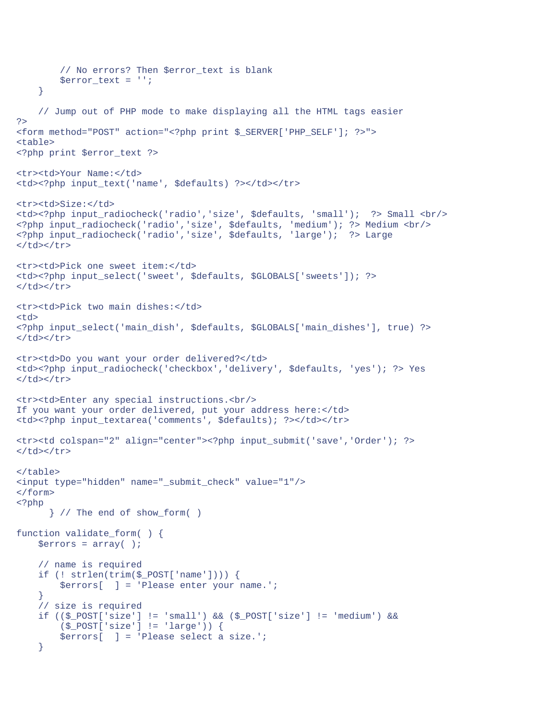```
 // No errors? Then $error_text is blank 
         $error_text = ''; 
     } 
     // Jump out of PHP mode to make displaying all the HTML tags easier 
?> 
<form method="POST" action="<?php print $_SERVER['PHP_SELF']; ?>"> 
<table> 
<?php print $error_text ?> 
<tr><td>Your Name:</td> 
<td><?php input_text('name', $defaults) ?></td></tr>
<tr><td>Size:</td> 
<td><?php input_radiocheck('radio','size', $defaults, 'small'); ?> Small <br/> 
<?php input_radiocheck('radio','size', $defaults, 'medium'); ?> Medium <br/> 
<?php input_radiocheck('radio','size', $defaults, 'large'); ?> Large 
\langle t \, \text{d} \rangle \langle t \, \text{d} \rangle<tr><td>Pick one sweet item:</td> 
<td><?php input_select('sweet', $defaults, $GLOBALS['sweets']); ?> 
\langle tdc|<tr><td>Pick two main dishes:</td> 
<td>
<?php input_select('main_dish', $defaults, $GLOBALS['main_dishes'], true) ?> 
\langle t \rangle<tr><td>Do you want your order delivered?</td> 
<td><?php input_radiocheck('checkbox','delivery', $defaults, 'yes'); ?> Yes 
\langle t \, ds \rangle<tr><td>Enter any special instructions.<br/> 
If you want your order delivered, put your address here:</td> 
<td><?php input_textarea('comments', $defaults); ?></td></tr> 
<tr><td colspan="2" align="center"><?php input_submit('save','Order'); ?> 
\langle tdc|</table> 
<input type="hidden" name="_submit_check" value="1"/> 
</form> 
<?php 
       } // The end of show_form( ) 
function validate_form( ) { 
     $errors = array( ); 
     // name is required 
     if (! strlen(trim($_POST['name']))) { 
         $errors[ ] = 'Please enter your name.'; 
     } 
     // size is required 
     if (($_POST['size'] != 'small') && ($_POST['size'] != 'medium') && 
        (\$ POST['size'] != 'large')) {
         $errors[ ] = 'Please select a size.'; 
     }
```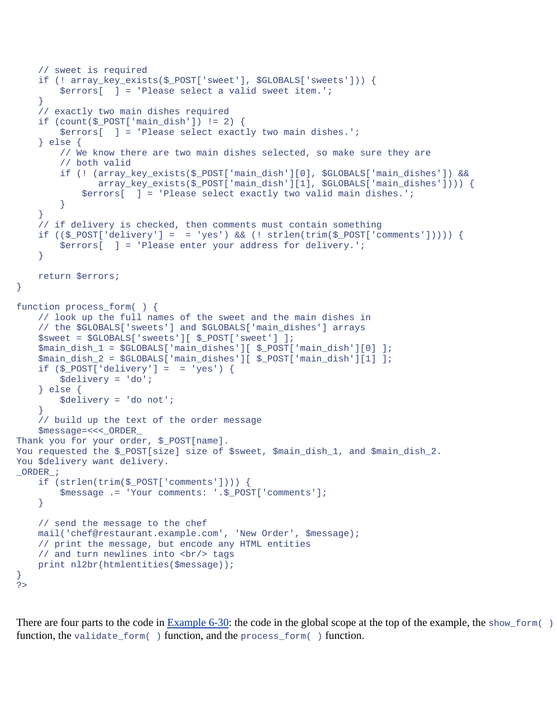```
 // sweet is required 
     if (! array_key_exists($_POST['sweet'], $GLOBALS['sweets'])) { 
         $errors[ ] = 'Please select a valid sweet item.'; 
 } 
     // exactly two main dishes required 
    if (count($ POST['main dish']) != 2) {
         $errors[ ] = 'Please select exactly two main dishes.'; 
     } else { 
         // We know there are two main dishes selected, so make sure they are 
         // both valid 
         if (! (array_key_exists($_POST['main_dish'][0], $GLOBALS['main_dishes']) && 
                array_key_exists($_POST['main_dish'][1], $GLOBALS['main_dishes']))) { 
             $errors[ ] = 'Please select exactly two valid main dishes.'; 
         } 
     } 
     // if delivery is checked, then comments must contain something 
    if ((\xi_POST['delivery'] = - 'yes') \& (!\ strlen(trim(\xi_POST['comments']))) ) $errors[ ] = 'Please enter your address for delivery.'; 
     } 
     return $errors; 
} 
function process_form( ) { 
     // look up the full names of the sweet and the main dishes in 
     // the $GLOBALS['sweets'] and $GLOBALS['main_dishes'] arrays 
     $sweet = $GLOBALS['sweets'][ $_POST['sweet'] ]; 
     $main_dish_1 = $GLOBALS['main_dishes'][ $_POST['main_dish'][0] ]; 
     $main_dish_2 = $GLOBALS['main_dishes'][ $_POST['main_dish'][1] ]; 
    if (\$_POST['delivery'] = - 'yes') {
         $delivery = 'do'; 
     } else { 
         $delivery = 'do not'; 
     } 
     // build up the text of the order message 
     $message=<<<_ORDER_ 
Thank you for your order, $ POST[name].
You requested the $_POST[size] size of $sweet, $main_dish_1, and $main_dish_2.
You $delivery want delivery.
_ORDER_; 
     if (strlen(trim($_POST['comments']))) { 
         $message .= 'Your comments: '.$_POST['comments']; 
     } 
     // send the message to the chef 
     mail('chef@restaurant.example.com', 'New Order', $message); 
     // print the message, but encode any HTML entities 
    // and turn newlines into <br/> kags
     print nl2br(htmlentities($message)); 
} 
?>
```
There are four parts to the code in Example 6-30: the code in the global scope at the top of the example, the show\_form() function, the validate\_form( ) function, and the process\_form( ) function.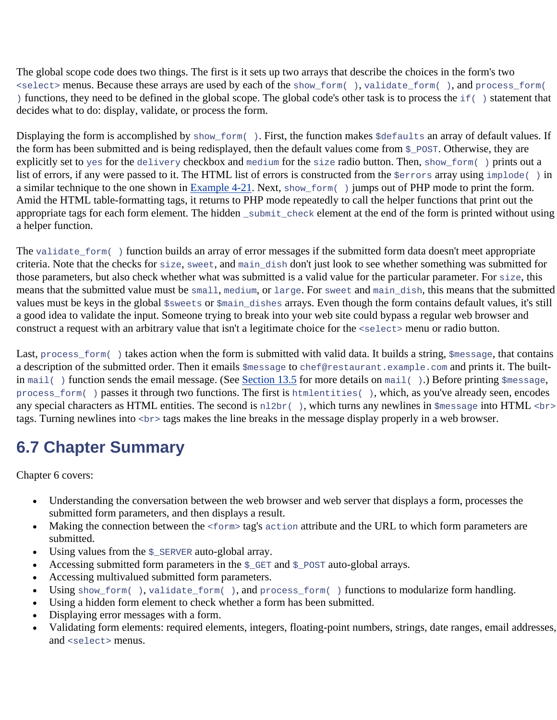The global scope code does two things. The first is it sets up two arrays that describe the choices in the form's two <select> menus. Because these arrays are used by each of the show\_form( ), validate\_form( ), and process\_form( ) functions, they need to be defined in the global scope. The global code's other task is to process the  $if( )$  statement that decides what to do: display, validate, or process the form.

Displaying the form is accomplished by show\_form( ). First, the function makes \$defaults an array of default values. If the form has been submitted and is being redisplayed, then the default values come from \$\_POST. Otherwise, they are explicitly set to yes for the delivery checkbox and medium for the size radio button. Then, show\_form() prints out a list of errors, if any were passed to it. The HTML list of errors is constructed from the  $\frac{1}{2}$ errors array using implode() in a similar technique to the one shown in **Example 4-21**. Next, show\_form() jumps out of PHP mode to print the form. Amid the HTML table-formatting tags, it returns to PHP mode repeatedly to call the helper functions that print out the appropriate tags for each form element. The hidden \_submit\_check element at the end of the form is printed without using a helper function.

The validate\_form( ) function builds an array of error messages if the submitted form data doesn't meet appropriate criteria. Note that the checks for size, sweet, and main\_dish don't just look to see whether something was submitted for those parameters, but also check whether what was submitted is a valid value for the particular parameter. For size, this means that the submitted value must be small, medium, or large. For sweet and main\_dish, this means that the submitted values must be keys in the global \$sweets or \$main\_dishes arrays. Even though the form contains default values, it's still a good idea to validate the input. Someone trying to break into your web site could bypass a regular web browser and construct a request with an arbitrary value that isn't a legitimate choice for the <select> menu or radio button.

Last, process\_form() takes action when the form is submitted with valid data. It builds a string, \$message, that contains a description of the submitted order. Then it emails \$message to chef@restaurant.example.com and prints it. The builtin mail( ) function sends the email message. (See <u>Section 13.5</u> for more details on mail( ).) Before printing  $\frac{1}{2}$  message, process\_form( ) passes it through two functions. The first is htmlentities( ), which, as you've already seen, encodes any special characters as HTML entities. The second is  $n12br($ ), which turns any newlines in  $\frac{1}{5}$  message into HTML <br/>lness tags. Turning newlines into <br> tags makes the line breaks in the message display properly in a web browser.

# **6.7 Chapter Summary**

Chapter 6 covers:

- Understanding the conversation between the web browser and web server that displays a form, processes the submitted form parameters, and then displays a result.
- Making the connection between the  $\le$ form> tag's action attribute and the URL to which form parameters are submitted.
- Using values from the  $s$ \_SERVER auto-global array.
- Accessing submitted form parameters in the  $\zeta$ -GET and  $\zeta$ -POST auto-global arrays.
- Accessing multivalued submitted form parameters.
- Using show\_form( ), validate\_form( ), and process\_form( ) functions to modularize form handling.
- Using a hidden form element to check whether a form has been submitted.
- Displaying error messages with a form.
- Validating form elements: required elements, integers, floating-point numbers, strings, date ranges, email addresses, and <select> menus.